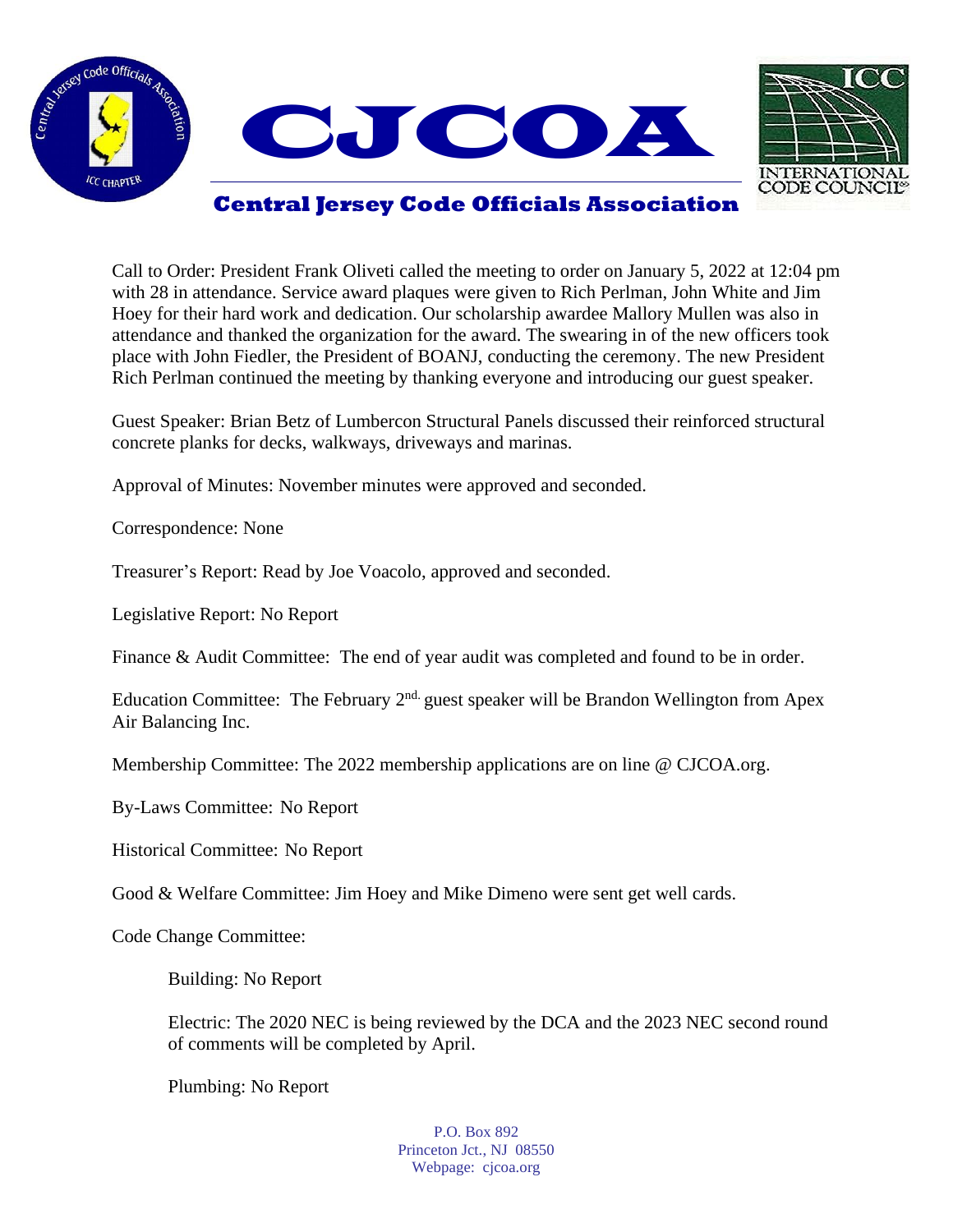



## **Central Jersey Code Officials Association**

Call to Order: President Frank Oliveti called the meeting to order on January 5, 2022 at 12:04 pm with 28 in attendance. Service award plaques were given to Rich Perlman, John White and Jim Hoey for their hard work and dedication. Our scholarship awardee Mallory Mullen was also in attendance and thanked the organization for the award. The swearing in of the new officers took place with John Fiedler, the President of BOANJ, conducting the ceremony. The new President Rich Perlman continued the meeting by thanking everyone and introducing our guest speaker.

Guest Speaker: Brian Betz of Lumbercon Structural Panels discussed their reinforced structural concrete planks for decks, walkways, driveways and marinas.

Approval of Minutes: November minutes were approved and seconded.

Correspondence: None

Treasurer's Report: Read by Joe Voacolo, approved and seconded.

Legislative Report: No Report

Finance & Audit Committee: The end of year audit was completed and found to be in order.

Education Committee: The February  $2<sup>nd</sup>$  guest speaker will be Brandon Wellington from Apex Air Balancing Inc.

Membership Committee: The 2022 membership applications are on line @ CJCOA.org.

By-Laws Committee: No Report

Historical Committee: No Report

Good & Welfare Committee: Jim Hoey and Mike Dimeno were sent get well cards.

Code Change Committee:

Building: No Report

Electric: The 2020 NEC is being reviewed by the DCA and the 2023 NEC second round of comments will be completed by April.

Plumbing: No Report

P.O. Box 892 Princeton Jct., NJ 08550 Webpage: cjcoa.org